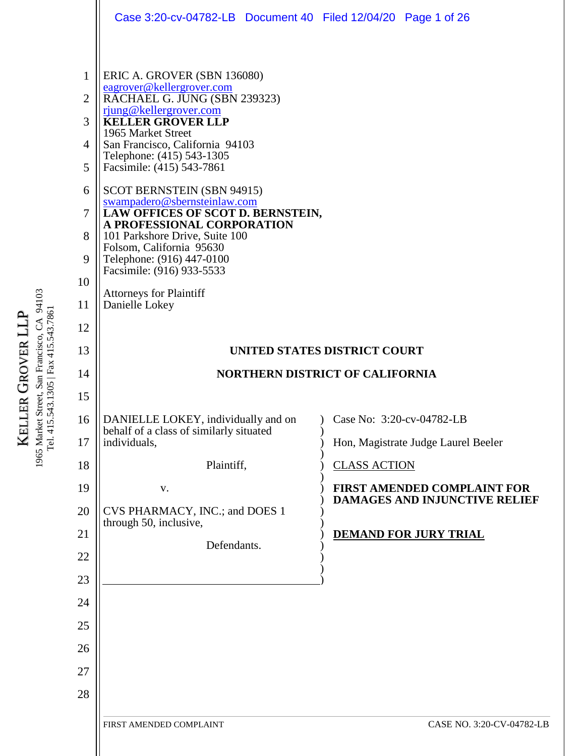|                                                                                    | Case 3:20-cv-04782-LB  Document 40  Filed 12/04/20  Page 1 of 26                                                                                                                                                                                                                                                                                                                                                                                                                                                                                                               |                                            |
|------------------------------------------------------------------------------------|--------------------------------------------------------------------------------------------------------------------------------------------------------------------------------------------------------------------------------------------------------------------------------------------------------------------------------------------------------------------------------------------------------------------------------------------------------------------------------------------------------------------------------------------------------------------------------|--------------------------------------------|
| $\mathbf{1}$<br>$\overline{2}$<br>3<br>4<br>5<br>6<br>$\tau$<br>8<br>9<br>10<br>11 | ERIC A. GROVER (SBN 136080)<br>eagrover@kellergrover.com<br>RACHAEL G. JUNG (SBN 239323)<br>rjung@kellergrover.com<br><b>KELLER GROVER LLP</b><br>1965 Market Street<br>San Francisco, California 94103<br>Telephone: (415) 543-1305<br>Facsimile: (415) 543-7861<br>SCOT BERNSTEIN (SBN 94915)<br>swampadero@sbernsteinlaw.com<br>LAW OFFICES OF SCOT D. BERNSTEIN,<br>A PROFESSIONAL CORPORATION<br>101 Parkshore Drive, Suite 100<br>Folsom, California 95630<br>Telephone: (916) 447-0100<br>Facsimile: (916) 933-5533<br><b>Attorneys for Plaintiff</b><br>Danielle Lokey |                                            |
| 12<br>13                                                                           |                                                                                                                                                                                                                                                                                                                                                                                                                                                                                                                                                                                | UNITED STATES DISTRICT COURT               |
| 14                                                                                 |                                                                                                                                                                                                                                                                                                                                                                                                                                                                                                                                                                                | NORTHERN DISTRICT OF CALIFORNIA            |
| 15                                                                                 |                                                                                                                                                                                                                                                                                                                                                                                                                                                                                                                                                                                |                                            |
| 16                                                                                 | DANIELLE LOKEY, individually and on                                                                                                                                                                                                                                                                                                                                                                                                                                                                                                                                            | Case No: 3:20-cv-04782-LB<br>$\mathcal{L}$ |
| 17                                                                                 | behalf of a class of similarly situated<br>individuals,                                                                                                                                                                                                                                                                                                                                                                                                                                                                                                                        | Hon, Magistrate Judge Laurel Beeler        |
| 18                                                                                 | Plaintiff,                                                                                                                                                                                                                                                                                                                                                                                                                                                                                                                                                                     | <b>CLASS ACTION</b>                        |
| 19                                                                                 | V.                                                                                                                                                                                                                                                                                                                                                                                                                                                                                                                                                                             | <b>FIRST AMENDED COMPLAINT FOR</b>         |
| 20                                                                                 | CVS PHARMACY, INC.; and DOES 1                                                                                                                                                                                                                                                                                                                                                                                                                                                                                                                                                 | <b>DAMAGES AND INJUNCTIVE RELIEF</b>       |
| 21                                                                                 | through 50, inclusive,                                                                                                                                                                                                                                                                                                                                                                                                                                                                                                                                                         | <b>DEMAND FOR JURY TRIAL</b>               |
| 22                                                                                 | Defendants.                                                                                                                                                                                                                                                                                                                                                                                                                                                                                                                                                                    |                                            |
| 23                                                                                 |                                                                                                                                                                                                                                                                                                                                                                                                                                                                                                                                                                                |                                            |
| 24                                                                                 |                                                                                                                                                                                                                                                                                                                                                                                                                                                                                                                                                                                |                                            |
| 25                                                                                 |                                                                                                                                                                                                                                                                                                                                                                                                                                                                                                                                                                                |                                            |
| 26                                                                                 |                                                                                                                                                                                                                                                                                                                                                                                                                                                                                                                                                                                |                                            |
| 27                                                                                 |                                                                                                                                                                                                                                                                                                                                                                                                                                                                                                                                                                                |                                            |
| 28                                                                                 |                                                                                                                                                                                                                                                                                                                                                                                                                                                                                                                                                                                |                                            |
|                                                                                    | FIRST AMENDED COMPLAINT                                                                                                                                                                                                                                                                                                                                                                                                                                                                                                                                                        | CASE NO. 3:20-CV-04782-LB                  |

1965 Market Street, San Francisco, CA 94103<br>Tel. 415.543.1305 | Fax 415.543.7861 1965 Market Street, San Francisco, CA 94103 KELLER GROVER LLP GROVER LLP KELLER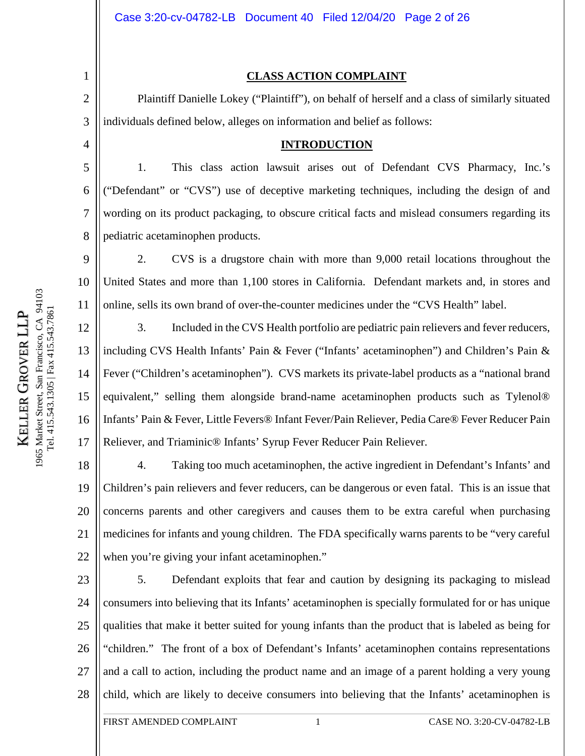# **CLASS ACTION COMPLAINT**

Plaintiff Danielle Lokey ("Plaintiff"), on behalf of herself and a class of similarly situated individuals defined below, alleges on information and belief as follows:

# **INTRODUCTION**

1. This class action lawsuit arises out of Defendant CVS Pharmacy, Inc.'s ("Defendant" or "CVS") use of deceptive marketing techniques, including the design of and wording on its product packaging, to obscure critical facts and mislead consumers regarding its pediatric acetaminophen products.

2. CVS is a drugstore chain with more than 9,000 retail locations throughout the United States and more than 1,100 stores in California. Defendant markets and, in stores and online, sells its own brand of over-the-counter medicines under the "CVS Health" label.

12 13 14 15 16 17 3. Included in the CVS Health portfolio are pediatric pain relievers and fever reducers, including CVS Health Infants' Pain & Fever ("Infants' acetaminophen") and Children's Pain & Fever ("Children's acetaminophen"). CVS markets its private-label products as a "national brand equivalent," selling them alongside brand-name acetaminophen products such as Tylenol® Infants' Pain & Fever, Little Fevers® Infant Fever/Pain Reliever, Pedia Care® Fever Reducer Pain Reliever, and Triaminic® Infants' Syrup Fever Reducer Pain Reliever.

18 19 20 21 22 4. Taking too much acetaminophen, the active ingredient in Defendant's Infants' and Children's pain relievers and fever reducers, can be dangerous or even fatal. This is an issue that concerns parents and other caregivers and causes them to be extra careful when purchasing medicines for infants and young children. The FDA specifically warns parents to be "very careful when you're giving your infant acetaminophen."

23 24 25 26 27 28 5. Defendant exploits that fear and caution by designing its packaging to mislead consumers into believing that its Infants' acetaminophen is specially formulated for or has unique qualities that make it better suited for young infants than the product that is labeled as being for "children." The front of a box of Defendant's Infants' acetaminophen contains representations and a call to action, including the product name and an image of a parent holding a very young child, which are likely to deceive consumers into believing that the Infants' acetaminophen is

1

2

3

4

5

6

7

8

9

10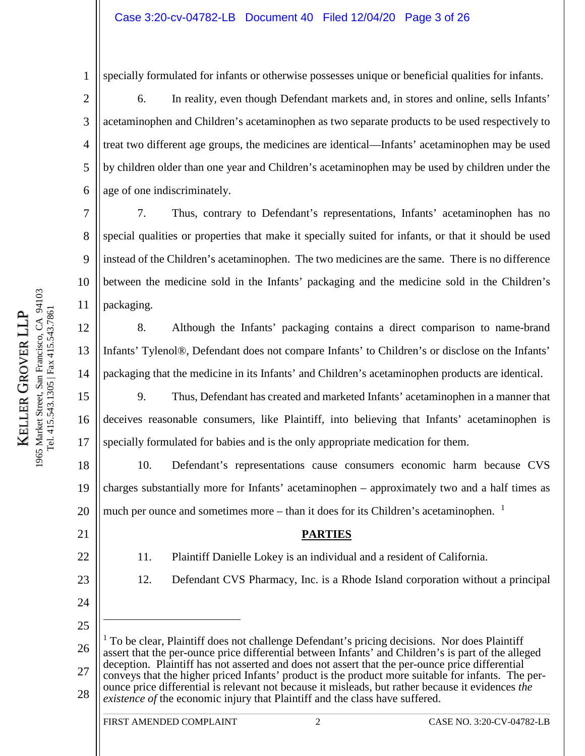# Case 3:20-cv-04782-LB Document 40 Filed 12/04/20 Page 3 of 26

94103 1965 Market Street, San Francisco, CA 94103 5 Market Street, San Francisco, CA 94<br>Tel. 415.543.1305 | Fax 415.543.7861 Tel. 415.543.1305 | Fax 415.543.7861 GROVER LLP KELLER GROVER LLP 1965 Market Street, KELLER

specially formulated for infants or otherwise possesses unique or beneficial qualities for infants.

6. In reality, even though Defendant markets and, in stores and online, sells Infants' acetaminophen and Children's acetaminophen as two separate products to be used respectively to treat two different age groups, the medicines are identical—Infants' acetaminophen may be used by children older than one year and Children's acetaminophen may be used by children under the age of one indiscriminately.

7. Thus, contrary to Defendant's representations, Infants' acetaminophen has no special qualities or properties that make it specially suited for infants, or that it should be used instead of the Children's acetaminophen. The two medicines are the same. There is no difference between the medicine sold in the Infants' packaging and the medicine sold in the Children's packaging.

12 13 14 8. Although the Infants' packaging contains a direct comparison to name-brand Infants' Tylenol®, Defendant does not compare Infants' to Children's or disclose on the Infants' packaging that the medicine in its Infants' and Children's acetaminophen products are identical.

15 16 17 9. Thus, Defendant has created and marketed Infants' acetaminophen in a manner that deceives reasonable consumers, like Plaintiff, into believing that Infants' acetaminophen is specially formulated for babies and is the only appropriate medication for them.

18 19 20 10. Defendant's representations cause consumers economic harm because CVS charges substantially more for Infants' acetaminophen – approximately two and a half times as much per ounce and sometimes more – than it does for its Children's acetaminophen.  $\frac{1}{1}$  $\frac{1}{1}$  $\frac{1}{1}$ 

# **PARTIES**

12. Defendant CVS Pharmacy, Inc. is a Rhode Island corporation without a principal

11. Plaintiff Danielle Lokey is an individual and a resident of California.

22

21

1

2

3

4

5

6

7

8

9

10

11

- 23
- 24 25

<span id="page-2-0"></span>26

 $\overline{a}$  $<sup>1</sup>$  To be clear, Plaintiff does not challenge Defendant's pricing decisions. Nor does Plaintiff</sup> assert that the per-ounce price differential between Infants' and Children's is part of the alleged deception. Plaintiff has not asserted and does not assert that the per-ounce price differential

27 28 conveys that the higher priced Infants' product is the product more suitable for infants. The perounce price differential is relevant not because it misleads, but rather because it evidences *the existence of* the economic injury that Plaintiff and the class have suffered.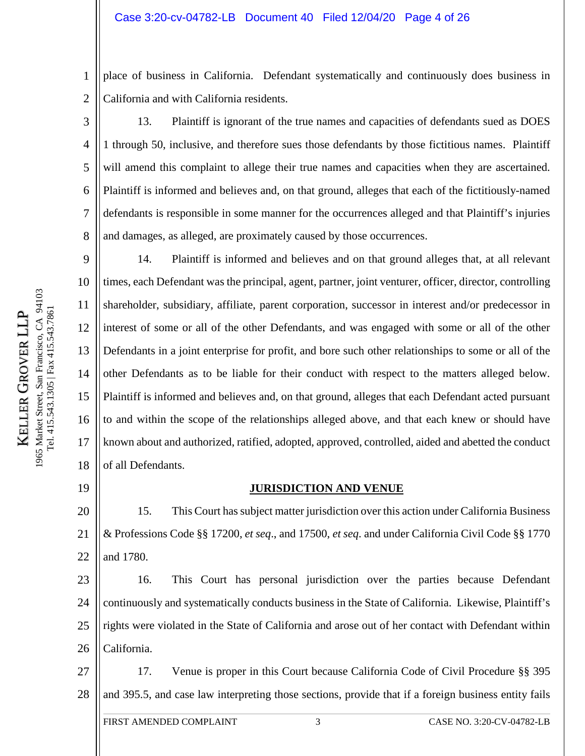# Case 3:20-cv-04782-LB Document 40 Filed 12/04/20 Page 4 of 26

1 2 place of business in California. Defendant systematically and continuously does business in California and with California residents.

13. Plaintiff is ignorant of the true names and capacities of defendants sued as DOES 1 through 50, inclusive, and therefore sues those defendants by those fictitious names. Plaintiff will amend this complaint to allege their true names and capacities when they are ascertained. Plaintiff is informed and believes and, on that ground, alleges that each of the fictitiously-named defendants is responsible in some manner for the occurrences alleged and that Plaintiff's injuries and damages, as alleged, are proximately caused by those occurrences.

9 10 11 12 13 14 15 16 17 18 14. Plaintiff is informed and believes and on that ground alleges that, at all relevant times, each Defendant was the principal, agent, partner, joint venturer, officer, director, controlling shareholder, subsidiary, affiliate, parent corporation, successor in interest and/or predecessor in interest of some or all of the other Defendants, and was engaged with some or all of the other Defendants in a joint enterprise for profit, and bore such other relationships to some or all of the other Defendants as to be liable for their conduct with respect to the matters alleged below. Plaintiff is informed and believes and, on that ground, alleges that each Defendant acted pursuant to and within the scope of the relationships alleged above, and that each knew or should have known about and authorized, ratified, adopted, approved, controlled, aided and abetted the conduct of all Defendants.

19

3

4

5

6

7

8

# **JURISDICTION AND VENUE**

20 21 22 15. This Court has subject matter jurisdiction over this action under California Business & Professions Code §§ 17200, *et seq*., and 17500, *et seq*. and under California Civil Code §§ 1770 and 1780.

23 24 25 26 16. This Court has personal jurisdiction over the parties because Defendant continuously and systematically conducts business in the State of California. Likewise, Plaintiff's rights were violated in the State of California and arose out of her contact with Defendant within California.

27 28 17. Venue is proper in this Court because California Code of Civil Procedure §§ 395 and 395.5, and case law interpreting those sections, provide that if a foreign business entity fails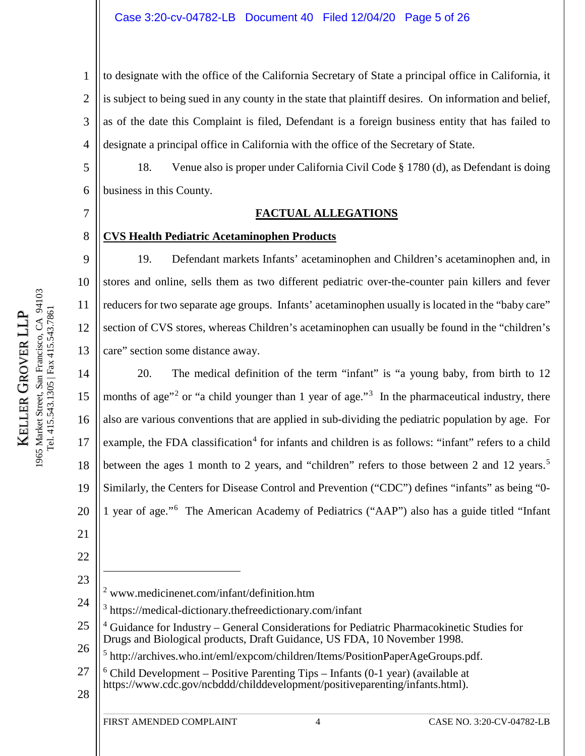1 2 3 4 to designate with the office of the California Secretary of State a principal office in California, it is subject to being sued in any county in the state that plaintiff desires. On information and belief, as of the date this Complaint is filed, Defendant is a foreign business entity that has failed to designate a principal office in California with the office of the Secretary of State.

5 6 18. Venue also is proper under California Civil Code § 1780 (d), as Defendant is doing business in this County.

# **FACTUAL ALLEGATIONS**

# **CVS Health Pediatric Acetaminophen Products**

19. Defendant markets Infants' acetaminophen and Children's acetaminophen and, in stores and online, sells them as two different pediatric over-the-counter pain killers and fever reducers for two separate age groups. Infants' acetaminophen usually is located in the "baby care" section of CVS stores, whereas Children's acetaminophen can usually be found in the "children's care" section some distance away.

14 15 16 17 18 19 20 20. The medical definition of the term "infant" is "a young baby, from birth to 12 months of age"<sup>[2](#page-4-0)</sup> or "a child younger than 1 year of age."<sup>[3](#page-4-1)</sup> In the pharmaceutical industry, there also are various conventions that are applied in sub-dividing the pediatric population by age. For example, the FDA classification<sup>[4](#page-4-2)</sup> for infants and children is as follows: "infant" refers to a child between the ages 1 month to 2 years, and "children" refers to those between 2 and 12 years.<sup>[5](#page-4-3)</sup> Similarly, the Centers for Disease Control and Prevention ("CDC") defines "infants" as being "0- 1 year of age."[6](#page-4-4) The American Academy of Pediatrics ("AAP") also has a guide titled "Infant

21 22

<span id="page-4-0"></span>23

 $\overline{a}$ 

7

8

9

10

11

12

- <sup>2</sup> [www.medicinenet.com/infant/definition.htm](http://www.medicinenet.com/infant/definition.htm)
- <span id="page-4-1"></span>24 <sup>3</sup> <https://medical-dictionary.thefreedictionary.com/infant>

- <span id="page-4-3"></span>26 <sup>5</sup> http://archives.who.int/eml/expcom/children/Items/PositionPaperAgeGroups.pdf.
- <span id="page-4-4"></span>27 28  $6$  Child Development – Positive Parenting Tips – Infants (0-1 year) (available at https://www.cdc.gov/ncbddd/childdevelopment/positiveparenting/infants.html).

<span id="page-4-2"></span><sup>25</sup> <sup>4</sup> Guidance for Industry – General Considerations for Pediatric Pharmacokinetic Studies for Drugs and Biological products, Draft Guidance, US FDA, 10 November 1998.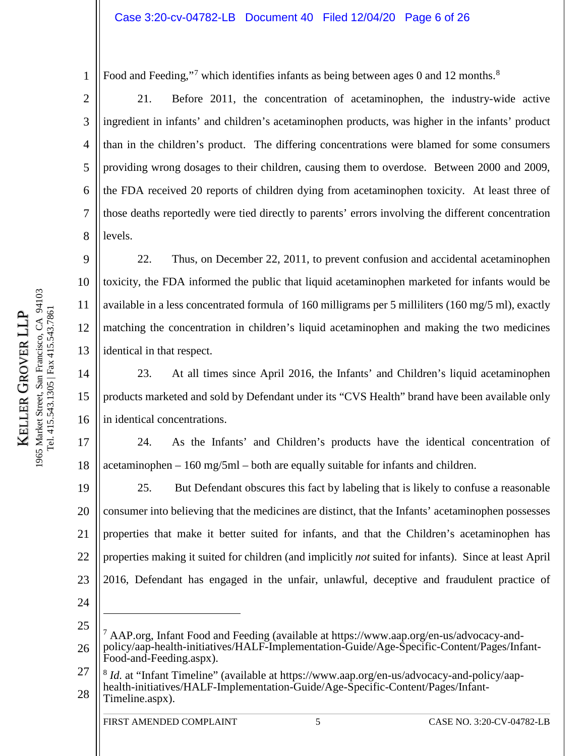# Case 3:20-cv-04782-LB Document 40 Filed 12/04/20 Page 6 of 26

Food and Feeding,"<sup>[7](#page-5-0)</sup> which identifies infants as being between ages 0 and 12 months.<sup>[8](#page-5-1)</sup>

4 5 6 7 8 21. Before 2011, the concentration of acetaminophen, the industry-wide active ingredient in infants' and children's acetaminophen products, was higher in the infants' product than in the children's product. The differing concentrations were blamed for some consumers providing wrong dosages to their children, causing them to overdose. Between 2000 and 2009, the FDA received 20 reports of children dying from acetaminophen toxicity. At least three of those deaths reportedly were tied directly to parents' errors involving the different concentration levels.

22. Thus, on December 22, 2011, to prevent confusion and accidental acetaminophen toxicity, the FDA informed the public that liquid acetaminophen marketed for infants would be available in a less concentrated formula of 160 milligrams per 5 milliliters (160 mg/5 ml), exactly matching the concentration in children's liquid acetaminophen and making the two medicines identical in that respect.

14 15 16 23. At all times since April 2016, the Infants' and Children's liquid acetaminophen products marketed and sold by Defendant under its "CVS Health" brand have been available only in identical concentrations.

17 18 24. As the Infants' and Children's products have the identical concentration of acetaminophen – 160 mg/5ml – both are equally suitable for infants and children.

19 20 21 22 23 25. But Defendant obscures this fact by labeling that is likely to confuse a reasonable consumer into believing that the medicines are distinct, that the Infants' acetaminophen possesses properties that make it better suited for infants, and that the Children's acetaminophen has properties making it suited for children (and implicitly *not* suited for infants). Since at least April 2016, Defendant has engaged in the unfair, unlawful, deceptive and fraudulent practice of

24

 $\overline{a}$ 

9

10

11

12

13

<span id="page-5-0"></span><sup>25</sup> 26 <sup>7</sup> AAP.org, Infant Food and Feeding (available at https://www.aap.org/en-us/advocacy-andpolicy/aap-health-initiatives/HALF-Implementation-Guide/Age-Specific-Content/Pages/Infant-Food-and-Feeding.aspx).

<span id="page-5-1"></span><sup>27</sup> 28 <sup>8</sup> *Id.* at "Infant Timeline" (available at https://www.aap.org/en-us/advocacy-and-policy/aaphealth-initiatives/HALF-Implementation-Guide/Age-Specific-Content/Pages/Infant-Timeline.aspx).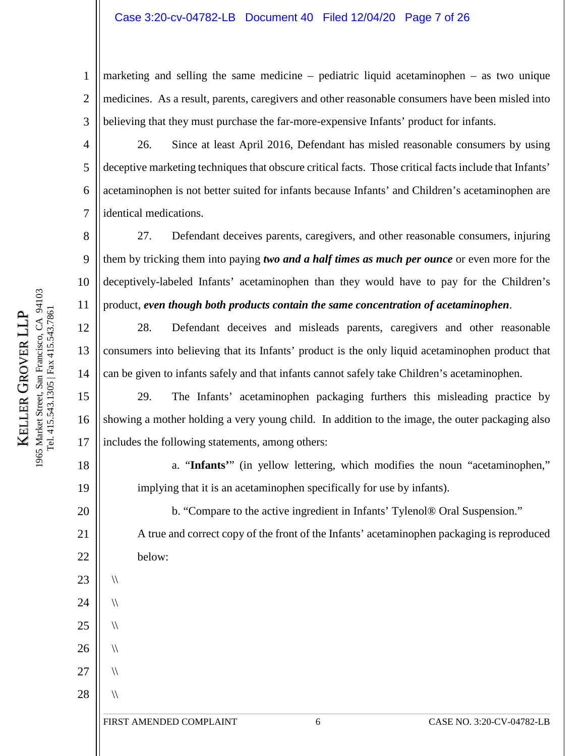# Case 3:20-cv-04782-LB Document 40 Filed 12/04/20 Page 7 of 26

1 2 3 marketing and selling the same medicine – pediatric liquid acetaminophen – as two unique medicines. As a result, parents, caregivers and other reasonable consumers have been misled into believing that they must purchase the far-more-expensive Infants' product for infants.

4 5 6 7 26. Since at least April 2016, Defendant has misled reasonable consumers by using deceptive marketing techniques that obscure critical facts. Those critical facts include that Infants' acetaminophen is not better suited for infants because Infants' and Children's acetaminophen are identical medications.

8 9 10 11 27. Defendant deceives parents, caregivers, and other reasonable consumers, injuring them by tricking them into paying *two and a half times as much per ounce* or even more for the deceptively-labeled Infants' acetaminophen than they would have to pay for the Children's product, *even though both products contain the same concentration of acetaminophen*.

28. Defendant deceives and misleads parents, caregivers and other reasonable consumers into believing that its Infants' product is the only liquid acetaminophen product that can be given to infants safely and that infants cannot safely take Children's acetaminophen.

15 16 17 29. The Infants' acetaminophen packaging furthers this misleading practice by showing a mother holding a very young child. In addition to the image, the outer packaging also includes the following statements, among others:

a. "**Infants'**" (in yellow lettering, which modifies the noun "acetaminophen," implying that it is an acetaminophen specifically for use by infants).

b. "Compare to the active ingredient in Infants' Tylenol® Oral Suspension." A true and correct copy of the front of the Infants' acetaminophen packaging is reproduced below:

94103 1965 Market Street, San Francisco, CA 94103 Tel. 415.543.1305 | Fax 415.543.7861 Tel. 415.543.1305 | Fax 415.543.7861 GROVER LLP  $C\Lambda$ KELLER GROVER LL Francisco, San<sup>:</sup> Market Street, KELLER  $1965$ 

12

13

14

18

19

20

21

22

23

 $\sqrt{ }$ 

 $\sqrt{ }$ 

 $\sqrt{ }$ 

 $\sqrt{ }$ 

 $\sqrt{}$ 

 $\sqrt{ }$ 

24

25

26

27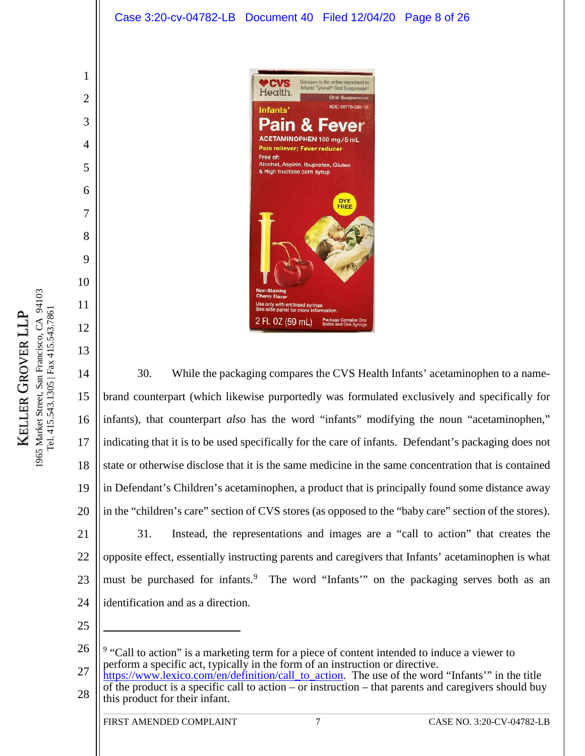

2 FL 0Z (59 mL)

14 15 16 17 18 19 20 21 22 23 24 30. While the packaging compares the CVS Health Infants' acetaminophen to a namebrand counterpart (which likewise purportedly was formulated exclusively and specifically for infants), that counterpart *also* has the word "infants" modifying the noun "acetaminophen," indicating that it is to be used specifically for the care of infants. Defendant's packaging does not state or otherwise disclose that it is the same medicine in the same concentration that is contained in Defendant's Children's acetaminophen, a product that is principally found some distance away in the "children's care" section of CVS stores (as opposed to the "baby care" section of the stores). 31. Instead, the representations and images are a "call to action" that creates the opposite effect, essentially instructing parents and caregivers that Infants' acetaminophen is what must be purchased for infants.<sup>[9](#page-7-0)</sup> The word "Infants" on the packaging serves both as an identification and as a direction.

25

 $\overline{a}$ 

1

2

3

4

5

6

7

8

9

10

11

12

13

<span id="page-7-0"></span><sup>26</sup> 27 <sup>9</sup> "Call to action" is a marketing term for a piece of content intended to induce a viewer to perform a specific act, typically in the form of an instruction or directive.

<sup>28</sup> [https://www.lexico.com/en/definition/call\\_to\\_action.](https://www.lexico.com/en/definition/call_to_action) The use of the word "Infants'" in the title of the product is a specific call to action – or instruction – that parents and caregivers should buy this product for their infant.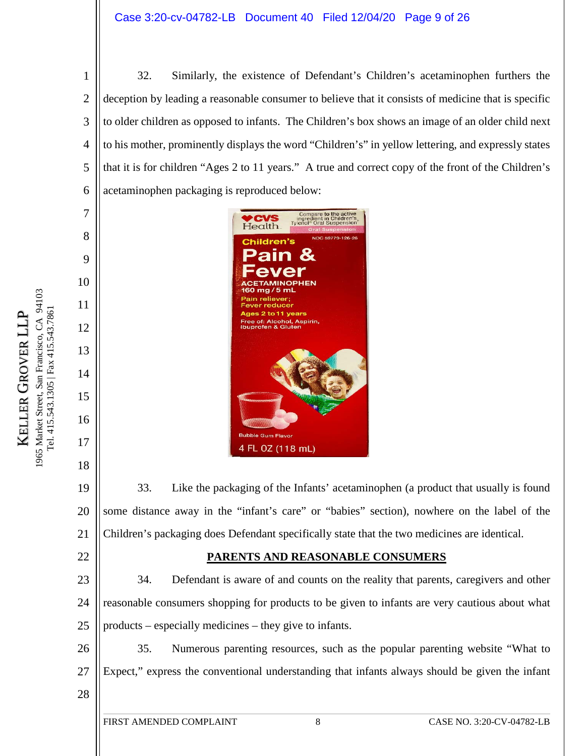6

7

8

9

10

11

12

13

14

15

16

17

18

22

1

32. Similarly, the existence of Defendant's Children's acetaminophen furthers the deception by leading a reasonable consumer to believe that it consists of medicine that is specific to older children as opposed to infants. The Children's box shows an image of an older child next to his mother, prominently displays the word "Children's" in yellow lettering, and expressly states that it is for children "Ages 2 to 11 years." A true and correct copy of the front of the Children's acetaminophen packaging is reproduced below:



19 20 21 33. Like the packaging of the Infants' acetaminophen (a product that usually is found some distance away in the "infant's care" or "babies" section), nowhere on the label of the Children's packaging does Defendant specifically state that the two medicines are identical.

# **PARENTS AND REASONABLE CONSUMERS**

23 24 25 34. Defendant is aware of and counts on the reality that parents, caregivers and other reasonable consumers shopping for products to be given to infants are very cautious about what products – especially medicines – they give to infants.

26 27 35. Numerous parenting resources, such as the popular parenting website "What to Expect," express the conventional understanding that infants always should be given the infant

28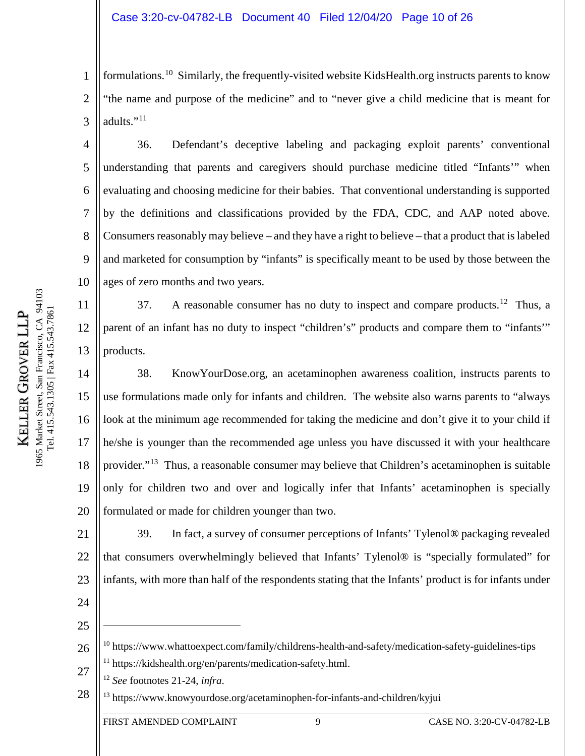# Case 3:20-cv-04782-LB Document 40 Filed 12/04/20 Page 10 of 26

1 2 3 formulations.<sup>10</sup> Similarly, the frequently-visited website KidsHealth.org instructs parents to know "the name and purpose of the medicine" and to "never give a child medicine that is meant for adults."<sup>[11](#page-9-1)</sup>

10 36. Defendant's deceptive labeling and packaging exploit parents' conventional understanding that parents and caregivers should purchase medicine titled "Infants'" when evaluating and choosing medicine for their babies. That conventional understanding is supported by the definitions and classifications provided by the FDA, CDC, and AAP noted above. Consumers reasonably may believe – and they have a right to believe – that a product that is labeled and marketed for consumption by "infants" is specifically meant to be used by those between the ages of zero months and two years.

37. A reasonable consumer has no duty to inspect and compare products.<sup>12</sup> Thus, a parent of an infant has no duty to inspect "children's" products and compare them to "infants" products.

14 15 16 38. KnowYourDose.org, an acetaminophen awareness coalition, instructs parents to use formulations made only for infants and children. The website also warns parents to "always look at the minimum age recommended for taking the medicine and don't give it to your child if he/she is younger than the recommended age unless you have discussed it with your healthcare provider."[13](#page-9-3) Thus, a reasonable consumer may believe that Children's acetaminophen is suitable only for children two and over and logically infer that Infants' acetaminophen is specially formulated or made for children younger than two.

17 18 19 20

21 22 23 39. In fact, a survey of consumer perceptions of Infants' Tylenol*®* packaging revealed that consumers overwhelmingly believed that Infants' Tylenol® is "specially formulated" for infants, with more than half of the respondents stating that the Infants' product is for infants under

24 25

 $\overline{a}$ 

4

5

6

7

8

9

11

12

- <span id="page-9-0"></span>26 <sup>10</sup> <https://www.whattoexpect.com/family/childrens-health-and-safety/medication-safety-guidelines-tips>
- <span id="page-9-1"></span>27 <sup>11</sup> [https://kidshealth.org/en/parents/medication-safety.html.](https://kidshealth.org/en/parents/medication-safety.html)
	- <sup>12</sup> *See* footnotes 21-24, *infra*.
- <span id="page-9-3"></span><span id="page-9-2"></span>28 <sup>13</sup> <https://www.knowyourdose.org/acetaminophen-for-infants-and-children/kyjui>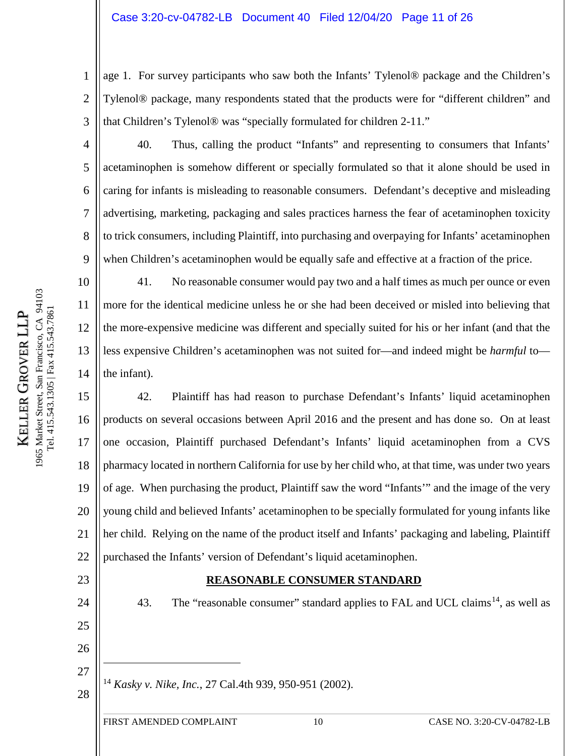# Case 3:20-cv-04782-LB Document 40 Filed 12/04/20 Page 11 of 26

1 2 3 age 1. For survey participants who saw both the Infants' Tylenol® package and the Children's Tylenol® package, many respondents stated that the products were for "different children" and that Children's Tylenol® was "specially formulated for children 2-11."

40. Thus, calling the product "Infants" and representing to consumers that Infants' acetaminophen is somehow different or specially formulated so that it alone should be used in caring for infants is misleading to reasonable consumers. Defendant's deceptive and misleading advertising, marketing, packaging and sales practices harness the fear of acetaminophen toxicity to trick consumers, including Plaintiff, into purchasing and overpaying for Infants' acetaminophen when Children's acetaminophen would be equally safe and effective at a fraction of the price.

41. No reasonable consumer would pay two and a half times as much per ounce or even more for the identical medicine unless he or she had been deceived or misled into believing that the more-expensive medicine was different and specially suited for his or her infant (and that the less expensive Children's acetaminophen was not suited for—and indeed might be *harmful* to the infant).

15 16 17 18 19 20 21 22 42. Plaintiff has had reason to purchase Defendant's Infants' liquid acetaminophen products on several occasions between April 2016 and the present and has done so. On at least one occasion, Plaintiff purchased Defendant's Infants' liquid acetaminophen from a CVS pharmacy located in northern California for use by her child who, at that time, was under two years of age. When purchasing the product, Plaintiff saw the word "Infants'" and the image of the very young child and believed Infants' acetaminophen to be specially formulated for young infants like her child. Relying on the name of the product itself and Infants' packaging and labeling, Plaintiff purchased the Infants' version of Defendant's liquid acetaminophen.

# **REASONABLE CONSUMER STANDARD**

- 43. The "reasonable consumer" standard applies to FAL and UCL claims<sup>[14](#page-10-0)</sup>, as well as
- 26 27

 $\overline{a}$ 

<span id="page-10-0"></span>28

23

24

25

<sup>14</sup> *Kasky v. Nike, Inc.*, 27 Cal.4th 939, 950-951 (2002).

4

5

6

7

8

9

10

11

12

13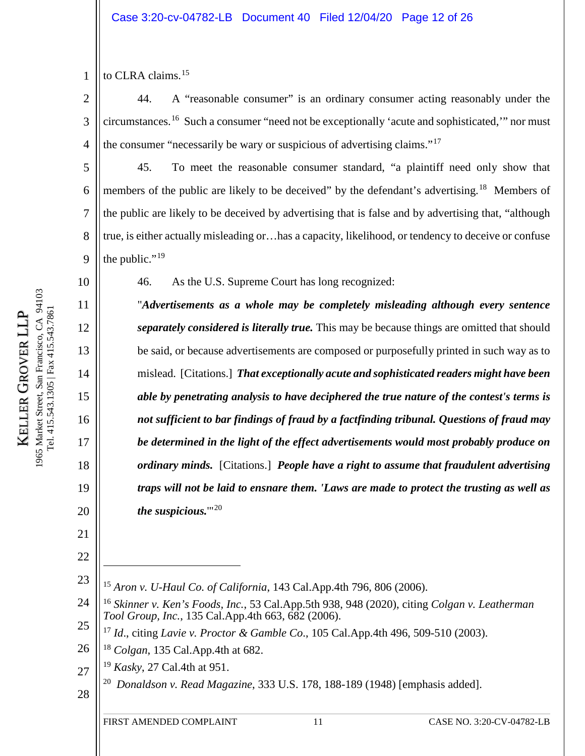# Case 3:20-cv-04782-LB Document 40 Filed 12/04/20 Page 12 of 26

1 to CLRA claims.<sup>[15](#page-11-0)</sup>

5

6

7

8

9

10

11

12

13

14

15

16

17

18

19

20

21

22

 $\overline{a}$ 

2 3 4 44. A "reasonable consumer" is an ordinary consumer acting reasonably under the circumstances.[16](#page-11-1) Such a consumer "need not be exceptionally 'acute and sophisticated,'" nor must the consumer "necessarily be wary or suspicious of advertising claims."<sup>[17](#page-11-2)</sup>

45. To meet the reasonable consumer standard, "a plaintiff need only show that members of the public are likely to be deceived" by the defendant's advertising.<sup>18</sup> Members of the public are likely to be deceived by advertising that is false and by advertising that, "although true, is either actually misleading or…has a capacity, likelihood, or tendency to deceive or confuse the public." $19$ 

46. As the U.S. Supreme Court has long recognized:

"*Advertisements as a whole may be completely misleading although every sentence separately considered is literally true.* This may be because things are omitted that should be said, or because advertisements are composed or purposefully printed in such way as to mislead. [Citations.] *That exceptionally acute and sophisticated readers might have been able by penetrating analysis to have deciphered the true nature of the contest's terms is not sufficient to bar findings of fraud by a factfinding tribunal. Questions of fraud may be determined in the light of the effect advertisements would most probably produce on ordinary minds.* [Citations.] *People have a right to assume that fraudulent advertising traps will not be laid to ensnare them. 'Laws are made to protect the trusting as well as the suspicious.*'"[20](#page-11-5)

<span id="page-11-0"></span><sup>23</sup> <sup>15</sup> *Aron v. U-Haul Co. of California*, 143 Cal.App.4th 796, 806 (2006).

<span id="page-11-1"></span><sup>24</sup> 25 <sup>16</sup> *Skinner v. Ken's Foods, Inc.*, 53 Cal.App.5th 938, 948 (2020), citing *Colgan v. Leatherman Tool Group, Inc.*, 135 Cal.App.4th 663, 682 (2006).

<sup>17</sup> *Id*., citing *Lavie v. Proctor & Gamble Co*., 105 Cal.App.4th 496, 509-510 (2003).

<span id="page-11-3"></span><span id="page-11-2"></span><sup>26</sup> <sup>18</sup> *Colgan*, 135 Cal.App.4th at 682.

<span id="page-11-4"></span><sup>27</sup> <sup>19</sup> *Kasky*, 27 Cal.4th at 951.

<span id="page-11-5"></span><sup>28</sup> <sup>20</sup> *Donaldson v. Read Magazine*, 333 U.S. 178, 188-189 (1948) [emphasis added].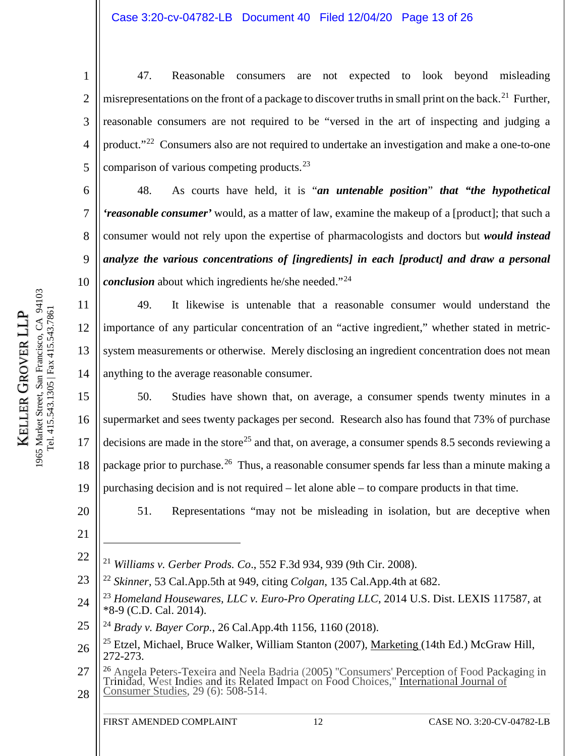1 2 3 4 5 47. Reasonable consumers are not expected to look beyond misleading misrepresentations on the front of a package to discover truths in small print on the back.<sup>[21](#page-12-0)</sup> Further, reasonable consumers are not required to be "versed in the art of inspecting and judging a product."[22](#page-12-1) Consumers also are not required to undertake an investigation and make a one-to-one comparison of various competing products.<sup>[23](#page-12-2)</sup>

6 7 8 9 10 48. As courts have held, it is "*an untenable position*" *that "the hypothetical 'reasonable consumer'* would, as a matter of law, examine the makeup of a [product]; that such a consumer would not rely upon the expertise of pharmacologists and doctors but *would instead analyze the various concentrations of [ingredients] in each [product] and draw a personal conclusion* about which ingredients he/she needed."<sup>[24](#page-12-3)</sup>

49. It likewise is untenable that a reasonable consumer would understand the importance of any particular concentration of an "active ingredient," whether stated in metricsystem measurements or otherwise. Merely disclosing an ingredient concentration does not mean anything to the average reasonable consumer.

15 16 17 18 19 50. Studies have shown that, on average, a consumer spends twenty minutes in a supermarket and sees twenty packages per second. Research also has found that 73% of purchase decisions are made in the store<sup>[25](#page-12-4)</sup> and that, on average, a consumer spends 8.5 seconds reviewing a package prior to purchase.<sup>[26](#page-12-5)</sup> Thus, a reasonable consumer spends far less than a minute making a purchasing decision and is not required – let alone able – to compare products in that time.

20

11

12

13

14

51. Representations "may not be misleading in isolation, but are deceptive when

21

 $\overline{a}$ 

- <span id="page-12-1"></span>23 <sup>22</sup> *Skinner*, 53 Cal.App.5th at 949, citing *Colgan*, 135 Cal.App.4th at 682.
- <span id="page-12-2"></span>24 <sup>23</sup> *Homeland Housewares, LLC v. Euro-Pro Operating LLC*, 2014 U.S. Dist. LEXIS 117587, at \*8-9 (C.D. Cal. 2014).
- <span id="page-12-3"></span>25 <sup>24</sup> *Brady v. Bayer Corp.*, 26 Cal.App.4th 1156, 1160 (2018).
- <span id="page-12-4"></span>26 <sup>25</sup> Etzel, Michael, Bruce Walker, William Stanton (2007), Marketing (14th Ed.) McGraw Hill, 272-273.
- <span id="page-12-5"></span>27 28 <sup>26</sup> Angela Peters-Texeira and Neela Badria (2005) "Consumers' Perception of Food Packaging in Trinidad, West Indies and its Related Impact on Food Choices," International Journal of Consumer Studies, 29 (6): 508-514.

<span id="page-12-0"></span><sup>22</sup> <sup>21</sup> *Williams v. Gerber Prods. Co*., 552 F.3d 934, 939 (9th Cir. 2008).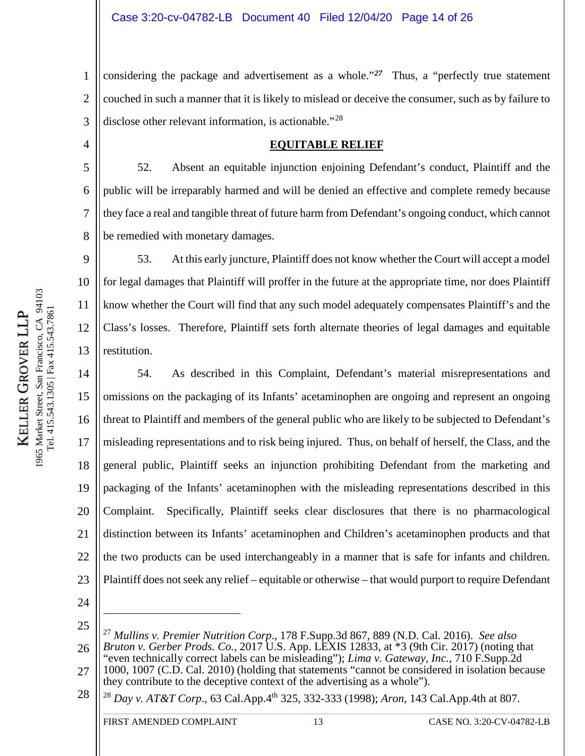1 2 3 considering the package and advertisement as a whole."*[27](#page-13-0)* Thus, a "perfectly true statement couched in such a manner that it is likely to mislead or deceive the consumer, such as by failure to disclose other relevant information, is actionable."<sup>[28](#page-13-1)</sup>

# **EQUITABLE RELIEF**

6 8 52. Absent an equitable injunction enjoining Defendant's conduct, Plaintiff and the public will be irreparably harmed and will be denied an effective and complete remedy because they face a real and tangible threat of future harm from Defendant's ongoing conduct, which cannot be remedied with monetary damages.

53. At this early juncture, Plaintiff does not know whether the Court will accept a model for legal damages that Plaintiff will proffer in the future at the appropriate time, nor does Plaintiff know whether the Court will find that any such model adequately compensates Plaintiff's and the Class's losses. Therefore, Plaintiff sets forth alternate theories of legal damages and equitable restitution.

14 15 16 17 18 19 20 21 22 23 54. As described in this Complaint, Defendant's material misrepresentations and omissions on the packaging of its Infants' acetaminophen are ongoing and represent an ongoing threat to Plaintiff and members of the general public who are likely to be subjected to Defendant's misleading representations and to risk being injured. Thus, on behalf of herself, the Class, and the general public, Plaintiff seeks an injunction prohibiting Defendant from the marketing and packaging of the Infants' acetaminophen with the misleading representations described in this Complaint. Specifically, Plaintiff seeks clear disclosures that there is no pharmacological distinction between its Infants' acetaminophen and Children's acetaminophen products and that the two products can be used interchangeably in a manner that is safe for infants and children. Plaintiff does not seek any relief – equitable or otherwise – that would purport to require Defendant

24

 $\overline{a}$ 

4

5

7

9

10

11

12

13

<span id="page-13-0"></span>25 26 <sup>27</sup> *Mullins v. Premier Nutrition Corp*., 178 F.Supp.3d 867, 889 (N.D. Cal. 2016). *See also Bruton v. Gerber Prods. Co.*, 2017 U.S. App. LEXIS 12833, at \*3 (9th Cir. 2017) (noting that "even technically correct labels can be misleading"); *Lima v. Gateway, Inc.*, 710 F.Supp.2d

27 1000, 1007 (C.D. Cal. 2010) (holding that statements "cannot be considered in isolation because they contribute to the deceptive context of the advertising as a whole").

<span id="page-13-1"></span>28 <sup>28</sup> *Day v. AT&T Corp*., 63 Cal.App.4th 325, 332-333 (1998); *Aron*, 143 Cal.App.4th at 807.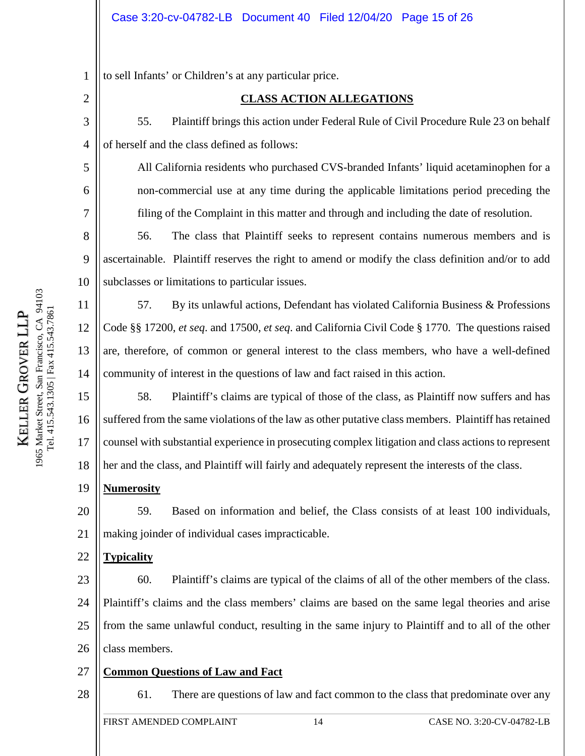1 to sell Infants' or Children's at any particular price.

# 2

3

4

5

6

7

8

9

10

11

12

13

14

# **CLASS ACTION ALLEGATIONS**

55. Plaintiff brings this action under Federal Rule of Civil Procedure Rule 23 on behalf of herself and the class defined as follows:

All California residents who purchased CVS-branded Infants' liquid acetaminophen for a non-commercial use at any time during the applicable limitations period preceding the filing of the Complaint in this matter and through and including the date of resolution.

56. The class that Plaintiff seeks to represent contains numerous members and is ascertainable. Plaintiff reserves the right to amend or modify the class definition and/or to add subclasses or limitations to particular issues.

57. By its unlawful actions, Defendant has violated California Business & Professions Code §§ 17200, *et seq*. and 17500, *et seq*. and California Civil Code § 1770. The questions raised are, therefore, of common or general interest to the class members, who have a well-defined community of interest in the questions of law and fact raised in this action.

15 16 17 18 58. Plaintiff's claims are typical of those of the class, as Plaintiff now suffers and has suffered from the same violations of the law as other putative class members. Plaintiff has retained counsel with substantial experience in prosecuting complex litigation and class actions to represent her and the class, and Plaintiff will fairly and adequately represent the interests of the class.

### 19 **Numerosity**

20 21 59. Based on information and belief, the Class consists of at least 100 individuals, making joinder of individual cases impracticable.

### 22 **Typicality**

23 24 25 26 60. Plaintiff's claims are typical of the claims of all of the other members of the class. Plaintiff's claims and the class members' claims are based on the same legal theories and arise from the same unlawful conduct, resulting in the same injury to Plaintiff and to all of the other class members.

### 27 **Common Questions of Law and Fact**

28

61. There are questions of law and fact common to the class that predominate over any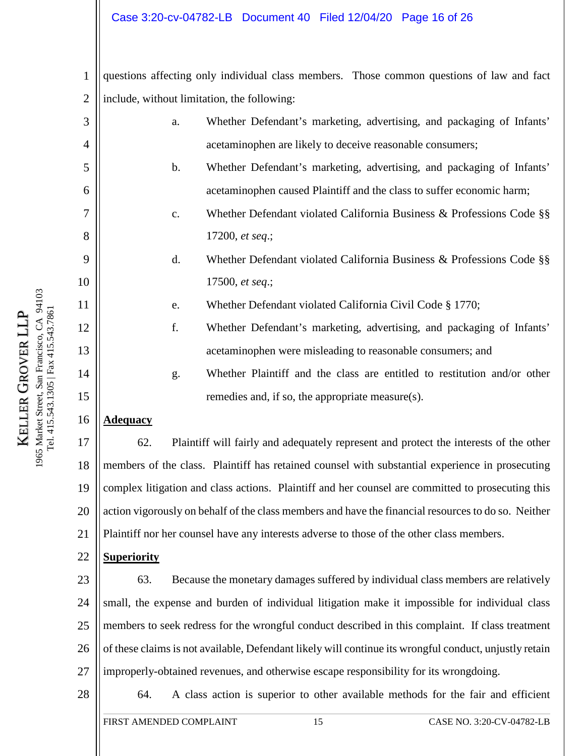# Case 3:20-cv-04782-LB Document 40 Filed 12/04/20 Page 16 of 26

1 2 questions affecting only individual class members. Those common questions of law and fact include, without limitation, the following:

3 4 5 6 7 8 9 10 11 12 13 14 15 16 17 18 a. Whether Defendant's marketing, advertising, and packaging of Infants' acetaminophen are likely to deceive reasonable consumers; b. Whether Defendant's marketing, advertising, and packaging of Infants' acetaminophen caused Plaintiff and the class to suffer economic harm; c. Whether Defendant violated California Business & Professions Code §§ 17200, *et seq*.; d. Whether Defendant violated California Business & Professions Code §§ 17500, *et seq*.; e. Whether Defendant violated California Civil Code § 1770; f. Whether Defendant's marketing, advertising, and packaging of Infants' acetaminophen were misleading to reasonable consumers; and g. Whether Plaintiff and the class are entitled to restitution and/or other remedies and, if so, the appropriate measure(s). **Adequacy** 62. Plaintiff will fairly and adequately represent and protect the interests of the other members of the class. Plaintiff has retained counsel with substantial experience in prosecuting

19 20 21 complex litigation and class actions. Plaintiff and her counsel are committed to prosecuting this action vigorously on behalf of the class members and have the financial resources to do so. Neither Plaintiff nor her counsel have any interests adverse to those of the other class members.

#### 22 **Superiority**

23 24 25 26 27 63. Because the monetary damages suffered by individual class members are relatively small, the expense and burden of individual litigation make it impossible for individual class members to seek redress for the wrongful conduct described in this complaint. If class treatment of these claims is not available, Defendant likely will continue its wrongful conduct, unjustly retain improperly-obtained revenues, and otherwise escape responsibility for its wrongdoing.

28

64. A class action is superior to other available methods for the fair and efficient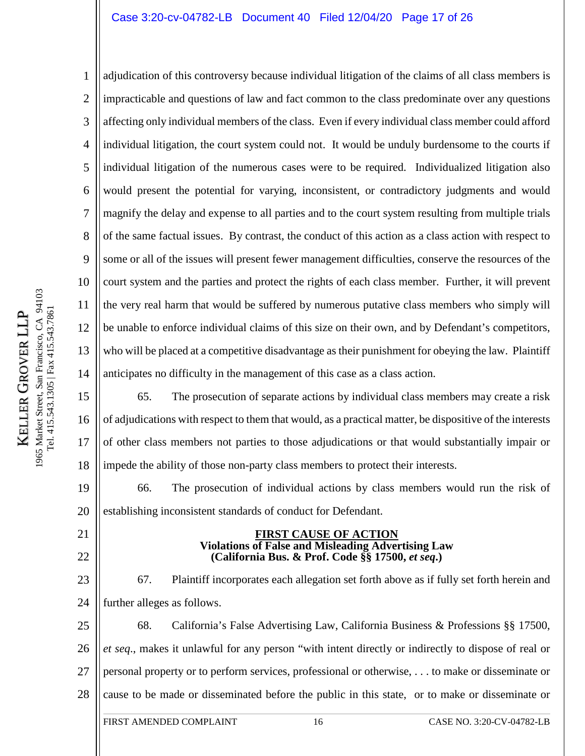# Case 3:20-cv-04782-LB Document 40 Filed 12/04/20 Page 17 of 26

1 2 3 4 5 6 7 8 9 10 11 12 13 14 adjudication of this controversy because individual litigation of the claims of all class members is impracticable and questions of law and fact common to the class predominate over any questions affecting only individual members of the class. Even if every individual class member could afford individual litigation, the court system could not. It would be unduly burdensome to the courts if individual litigation of the numerous cases were to be required. Individualized litigation also would present the potential for varying, inconsistent, or contradictory judgments and would magnify the delay and expense to all parties and to the court system resulting from multiple trials of the same factual issues. By contrast, the conduct of this action as a class action with respect to some or all of the issues will present fewer management difficulties, conserve the resources of the court system and the parties and protect the rights of each class member. Further, it will prevent the very real harm that would be suffered by numerous putative class members who simply will be unable to enforce individual claims of this size on their own, and by Defendant's competitors, who will be placed at a competitive disadvantage as their punishment for obeying the law. Plaintiff anticipates no difficulty in the management of this case as a class action.

15 16 17 18 65. The prosecution of separate actions by individual class members may create a risk of adjudications with respect to them that would, as a practical matter, be dispositive of the interests of other class members not parties to those adjudications or that would substantially impair or impede the ability of those non-party class members to protect their interests.

19 20 66. The prosecution of individual actions by class members would run the risk of establishing inconsistent standards of conduct for Defendant.

### **FIRST CAUSE OF ACTION Violations of False and Misleading Advertising Law (California Bus. & Prof. Code §§ 17500,** *et seq***.)**

23 24 67. Plaintiff incorporates each allegation set forth above as if fully set forth herein and further alleges as follows.

25 26 27 28 68. California's False Advertising Law, California Business & Professions §§ 17500, *et seq*., makes it unlawful for any person "with intent directly or indirectly to dispose of real or personal property or to perform services, professional or otherwise, . . . to make or disseminate or cause to be made or disseminated before the public in this state, or to make or disseminate or

21

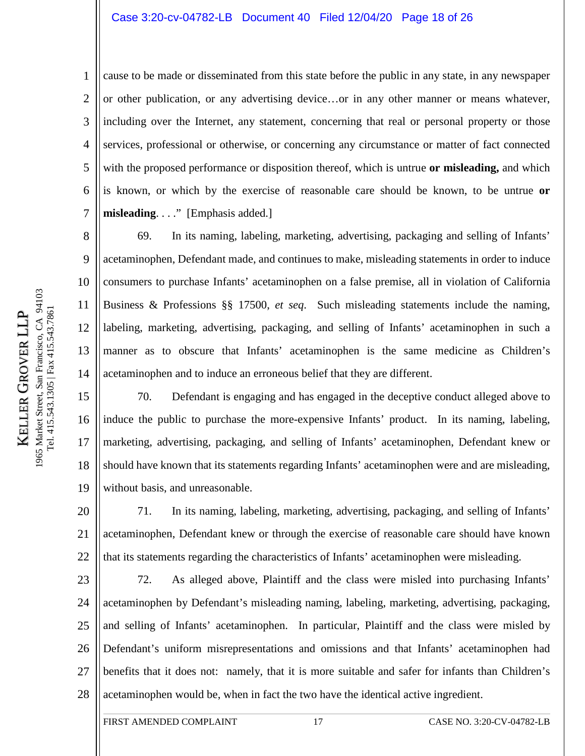# Case 3:20-cv-04782-LB Document 40 Filed 12/04/20 Page 18 of 26

1 2 3 4 5 6 7 cause to be made or disseminated from this state before the public in any state, in any newspaper or other publication, or any advertising device…or in any other manner or means whatever, including over the Internet, any statement, concerning that real or personal property or those services, professional or otherwise, or concerning any circumstance or matter of fact connected with the proposed performance or disposition thereof, which is untrue **or misleading,** and which is known, or which by the exercise of reasonable care should be known, to be untrue **or misleading**. . . ." [Emphasis added.]

69. In its naming, labeling, marketing, advertising, packaging and selling of Infants' acetaminophen, Defendant made, and continues to make, misleading statements in order to induce consumers to purchase Infants' acetaminophen on a false premise, all in violation of California Business & Professions §§ 17500, *et seq*. Such misleading statements include the naming, labeling, marketing, advertising, packaging, and selling of Infants' acetaminophen in such a manner as to obscure that Infants' acetaminophen is the same medicine as Children's acetaminophen and to induce an erroneous belief that they are different.

15 16 17 18 19 70. Defendant is engaging and has engaged in the deceptive conduct alleged above to induce the public to purchase the more-expensive Infants' product. In its naming, labeling, marketing, advertising, packaging, and selling of Infants' acetaminophen, Defendant knew or should have known that its statements regarding Infants' acetaminophen were and are misleading, without basis, and unreasonable.

20 21 22 71. In its naming, labeling, marketing, advertising, packaging, and selling of Infants' acetaminophen, Defendant knew or through the exercise of reasonable care should have known that its statements regarding the characteristics of Infants' acetaminophen were misleading.

23 24 25 26 27 28 72. As alleged above, Plaintiff and the class were misled into purchasing Infants' acetaminophen by Defendant's misleading naming, labeling, marketing, advertising, packaging, and selling of Infants' acetaminophen. In particular, Plaintiff and the class were misled by Defendant's uniform misrepresentations and omissions and that Infants' acetaminophen had benefits that it does not: namely, that it is more suitable and safer for infants than Children's acetaminophen would be, when in fact the two have the identical active ingredient.

8

9

10

11

12

13

14

FIRST AMENDED COMPLAINT 17 17 CASE NO. 3:20-CV-04782-LB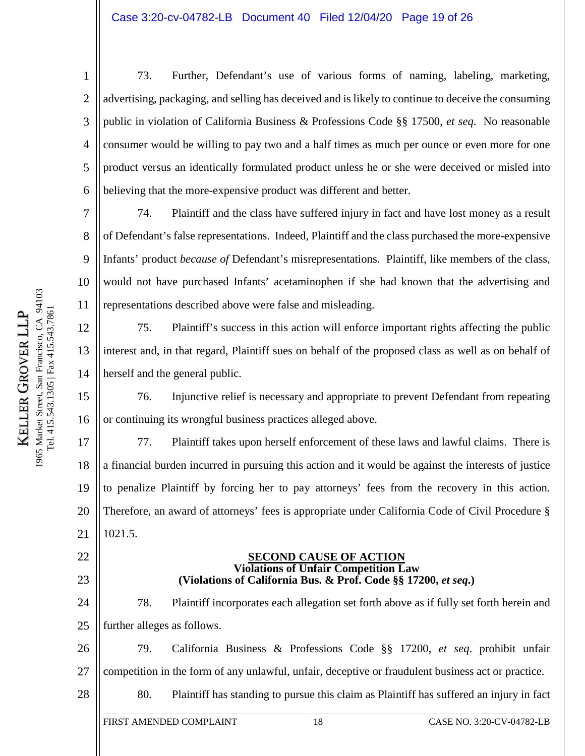2 3 4 5 6 73. Further, Defendant's use of various forms of naming, labeling, marketing, advertising, packaging, and selling has deceived and is likely to continue to deceive the consuming public in violation of California Business & Professions Code §§ 17500, *et seq*. No reasonable consumer would be willing to pay two and a half times as much per ounce or even more for one product versus an identically formulated product unless he or she were deceived or misled into believing that the more-expensive product was different and better.

8 9 10 74. Plaintiff and the class have suffered injury in fact and have lost money as a result of Defendant's false representations. Indeed, Plaintiff and the class purchased the more-expensive Infants' product *because of* Defendant's misrepresentations. Plaintiff, like members of the class, would not have purchased Infants' acetaminophen if she had known that the advertising and representations described above were false and misleading.

13 14 75. Plaintiff's success in this action will enforce important rights affecting the public interest and, in that regard, Plaintiff sues on behalf of the proposed class as well as on behalf of herself and the general public.

15 16 76. Injunctive relief is necessary and appropriate to prevent Defendant from repeating or continuing its wrongful business practices alleged above.

17 18 19 20 21 77. Plaintiff takes upon herself enforcement of these laws and lawful claims. There is a financial burden incurred in pursuing this action and it would be against the interests of justice to penalize Plaintiff by forcing her to pay attorneys' fees from the recovery in this action. Therefore, an award of attorneys' fees is appropriate under California Code of Civil Procedure § 1021.5.

# **SECOND CAUSE OF ACTION Violations of Unfair Competition Law (Violations of California Bus. & Prof. Code §§ 17200,** *et seq***.)**

24 25 78. Plaintiff incorporates each allegation set forth above as if fully set forth herein and further alleges as follows.

26 27 79. California Business & Professions Code §§ 17200, *et seq*. prohibit unfair competition in the form of any unlawful, unfair, deceptive or fraudulent business act or practice. 80. Plaintiff has standing to pursue this claim as Plaintiff has suffered an injury in fact

22

23

KELLER

GROVER LLP

KELLER GROVER LLI

94103

 $C\Lambda$ 

1

7

11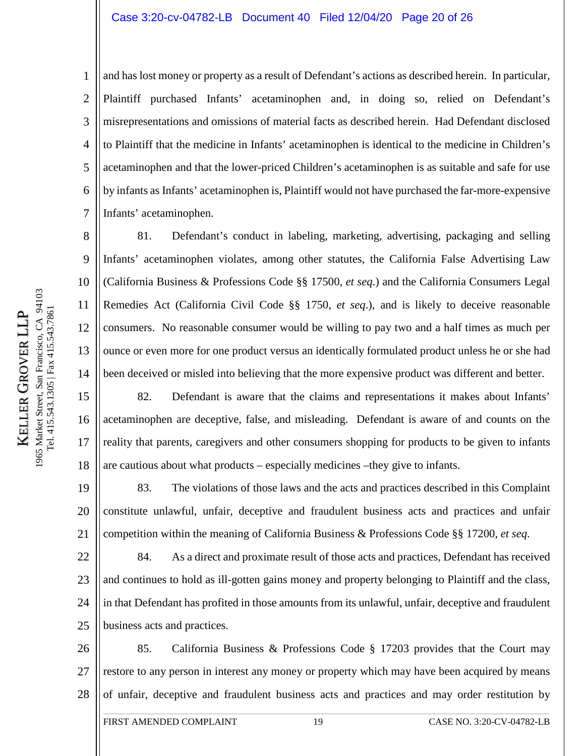# Case 3:20-cv-04782-LB Document 40 Filed 12/04/20 Page 20 of 26

1 2 3 4 5 6 7 and has lost money or property as a result of Defendant's actions as described herein. In particular, Plaintiff purchased Infants' acetaminophen and, in doing so, relied on Defendant's misrepresentations and omissions of material facts as described herein. Had Defendant disclosed to Plaintiff that the medicine in Infants' acetaminophen is identical to the medicine in Children's acetaminophen and that the lower-priced Children's acetaminophen is as suitable and safe for use by infants as Infants' acetaminophen is, Plaintiff would not have purchased the far-more-expensive Infants' acetaminophen.

10 13 14 81. Defendant's conduct in labeling, marketing, advertising, packaging and selling Infants' acetaminophen violates, among other statutes, the California False Advertising Law (California Business & Professions Code §§ 17500, *et seq*.) and the California Consumers Legal Remedies Act (California Civil Code §§ 1750, *et seq*.), and is likely to deceive reasonable consumers. No reasonable consumer would be willing to pay two and a half times as much per ounce or even more for one product versus an identically formulated product unless he or she had been deceived or misled into believing that the more expensive product was different and better.

15 16 17 18 82. Defendant is aware that the claims and representations it makes about Infants' acetaminophen are deceptive, false, and misleading. Defendant is aware of and counts on the reality that parents, caregivers and other consumers shopping for products to be given to infants are cautious about what products – especially medicines –they give to infants.

19 20 21 83. The violations of those laws and the acts and practices described in this Complaint constitute unlawful, unfair, deceptive and fraudulent business acts and practices and unfair competition within the meaning of California Business & Professions Code §§ 17200*, et seq*.

22 23 24 25 84. As a direct and proximate result of those acts and practices, Defendant has received and continues to hold as ill-gotten gains money and property belonging to Plaintiff and the class, in that Defendant has profited in those amounts from its unlawful, unfair, deceptive and fraudulent business acts and practices.

26 27 28 85. California Business & Professions Code § 17203 provides that the Court may restore to any person in interest any money or property which may have been acquired by means of unfair, deceptive and fraudulent business acts and practices and may order restitution by

94103

 $C\Lambda$ 

8

9

11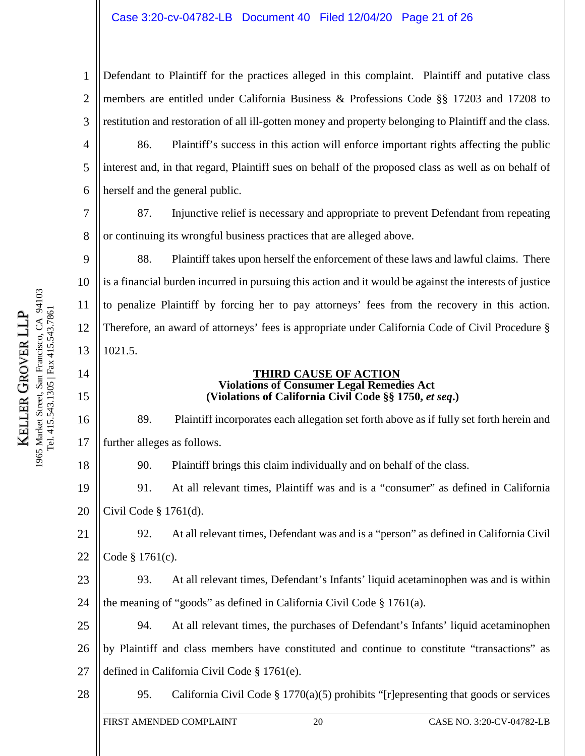# Case 3:20-cv-04782-LB Document 40 Filed 12/04/20 Page 21 of 26

1 2 3 Defendant to Plaintiff for the practices alleged in this complaint. Plaintiff and putative class members are entitled under California Business & Professions Code §§ 17203 and 17208 to restitution and restoration of all ill-gotten money and property belonging to Plaintiff and the class.

4 5 6 86. Plaintiff's success in this action will enforce important rights affecting the public interest and, in that regard, Plaintiff sues on behalf of the proposed class as well as on behalf of herself and the general public.

87. Injunctive relief is necessary and appropriate to prevent Defendant from repeating or continuing its wrongful business practices that are alleged above.

88. Plaintiff takes upon herself the enforcement of these laws and lawful claims. There is a financial burden incurred in pursuing this action and it would be against the interests of justice to penalize Plaintiff by forcing her to pay attorneys' fees from the recovery in this action. Therefore, an award of attorneys' fees is appropriate under California Code of Civil Procedure § 1021.5.

### **THIRD CAUSE OF ACTION Violations of Consumer Legal Remedies Act (Violations of California Civil Code §§ 1750,** *et seq***.)**

89. Plaintiff incorporates each allegation set forth above as if fully set forth herein and further alleges as follows.

90. Plaintiff brings this claim individually and on behalf of the class.

19 20 91. At all relevant times, Plaintiff was and is a "consumer" as defined in California Civil Code § 1761(d).

21 22 92. At all relevant times, Defendant was and is a "person" as defined in California Civil Code § 1761(c).

23 24 93. At all relevant times, Defendant's Infants' liquid acetaminophen was and is within the meaning of "goods" as defined in California Civil Code § 1761(a).

25 26 27 94. At all relevant times, the purchases of Defendant's Infants' liquid acetaminophen by Plaintiff and class members have constituted and continue to constitute "transactions" as defined in California Civil Code § 1761(e).

28

95. California Civil Code § 1770(a)(5) prohibits "[r]epresenting that goods or services

7

8

9

10

11

12

13

14

15

16

17

18

FIRST AMENDED COMPLAINT  $20$  CASE NO. 3:20-CV-04782-LB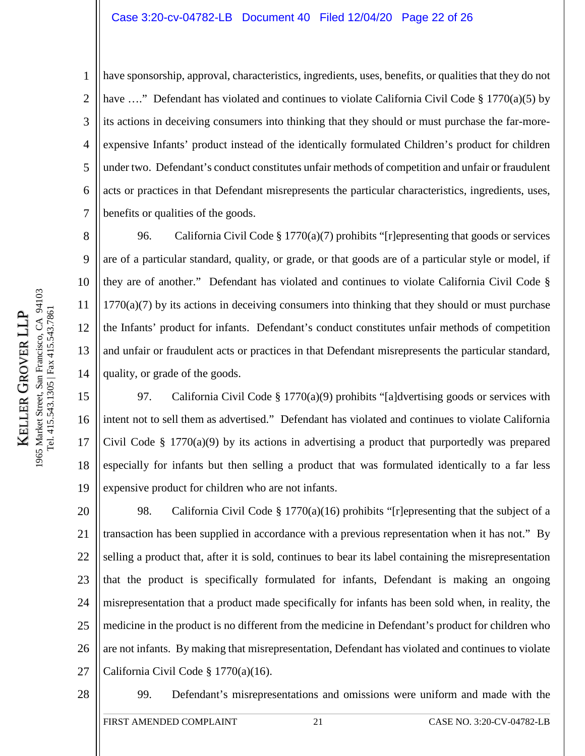# Case 3:20-cv-04782-LB Document 40 Filed 12/04/20 Page 22 of 26

2 3 4 5 6 7 have sponsorship, approval, characteristics, ingredients, uses, benefits, or qualities that they do not have ...." Defendant has violated and continues to violate California Civil Code § 1770(a)(5) by its actions in deceiving consumers into thinking that they should or must purchase the far-moreexpensive Infants' product instead of the identically formulated Children's product for children under two. Defendant's conduct constitutes unfair methods of competition and unfair or fraudulent acts or practices in that Defendant misrepresents the particular characteristics, ingredients, uses, benefits or qualities of the goods.

8 9 10 12 13 14 96. California Civil Code § 1770(a)(7) prohibits "[r]epresenting that goods or services are of a particular standard, quality, or grade, or that goods are of a particular style or model, if they are of another." Defendant has violated and continues to violate California Civil Code §  $1770(a)(7)$  by its actions in deceiving consumers into thinking that they should or must purchase the Infants' product for infants. Defendant's conduct constitutes unfair methods of competition and unfair or fraudulent acts or practices in that Defendant misrepresents the particular standard, quality, or grade of the goods.

15 16 17 18 19 97. California Civil Code § 1770(a)(9) prohibits "[a]dvertising goods or services with intent not to sell them as advertised." Defendant has violated and continues to violate California Civil Code § 1770(a)(9) by its actions in advertising a product that purportedly was prepared especially for infants but then selling a product that was formulated identically to a far less expensive product for children who are not infants.

20 21 22 23 24 25 26 27 98. California Civil Code § 1770(a)(16) prohibits "[r]epresenting that the subject of a transaction has been supplied in accordance with a previous representation when it has not." By selling a product that, after it is sold, continues to bear its label containing the misrepresentation that the product is specifically formulated for infants, Defendant is making an ongoing misrepresentation that a product made specifically for infants has been sold when, in reality, the medicine in the product is no different from the medicine in Defendant's product for children who are not infants. By making that misrepresentation, Defendant has violated and continues to violate California Civil Code § 1770(a)(16).

CA 94103 1965 Market Street, San Francisco, CA 94103 Tel. 415.543.1305 | Fax 415.543.7861 Tel. 415.543.1305 | Fax 415.543.7861 GROVER LLP KELLER GROVER LLP Francisco, San<sup>:</sup> 965 Market Street, KELLER

1

11

28

99. Defendant's misrepresentations and omissions were uniform and made with the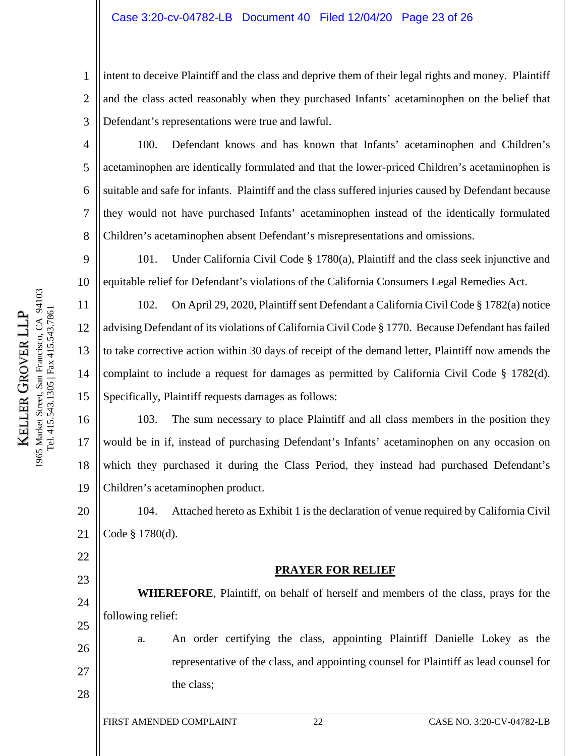# Case 3:20-cv-04782-LB Document 40 Filed 12/04/20 Page 23 of 26

1 2 3 intent to deceive Plaintiff and the class and deprive them of their legal rights and money. Plaintiff and the class acted reasonably when they purchased Infants' acetaminophen on the belief that Defendant's representations were true and lawful.

100. Defendant knows and has known that Infants' acetaminophen and Children's acetaminophen are identically formulated and that the lower-priced Children's acetaminophen is suitable and safe for infants. Plaintiff and the class suffered injuries caused by Defendant because they would not have purchased Infants' acetaminophen instead of the identically formulated Children's acetaminophen absent Defendant's misrepresentations and omissions.

9 10 101. Under California Civil Code § 1780(a), Plaintiff and the class seek injunctive and equitable relief for Defendant's violations of the California Consumers Legal Remedies Act.

102. On April 29, 2020, Plaintiff sent Defendant a California Civil Code § 1782(a) notice advising Defendant of its violations of California Civil Code § 1770. Because Defendant has failed to take corrective action within 30 days of receipt of the demand letter, Plaintiff now amends the complaint to include a request for damages as permitted by California Civil Code § 1782(d). Specifically, Plaintiff requests damages as follows:

16 17 18 19 103. The sum necessary to place Plaintiff and all class members in the position they would be in if, instead of purchasing Defendant's Infants' acetaminophen on any occasion on which they purchased it during the Class Period, they instead had purchased Defendant's Children's acetaminophen product.

20 21 104. Attached hereto as Exhibit 1 is the declaration of venue required by California Civil Code § 1780(d).

# **PRAYER FOR RELIEF**

**WHEREFORE**, Plaintiff, on behalf of herself and members of the class, prays for the following relief:

a. An order certifying the class, appointing Plaintiff Danielle Lokey as the representative of the class, and appointing counsel for Plaintiff as lead counsel for the class;

94103 1965 Market Street, San Francisco, CA 94103 5 Market Street, San Francisco, CA  $94$ <br>Tel. 415.543.1305 | Fax 415.543.7861 Tel. 415.543.1305 | Fax 415.543.7861 GROVER LLP KELLER GROVER LL KELLER  $1965$ 

4

5

6

7

8

11

12

13

14

15

22

23

24

25

26

27

28

FIRST AMENDED COMPLAINT  $22$  CASE NO. 3:20-CV-04782-LB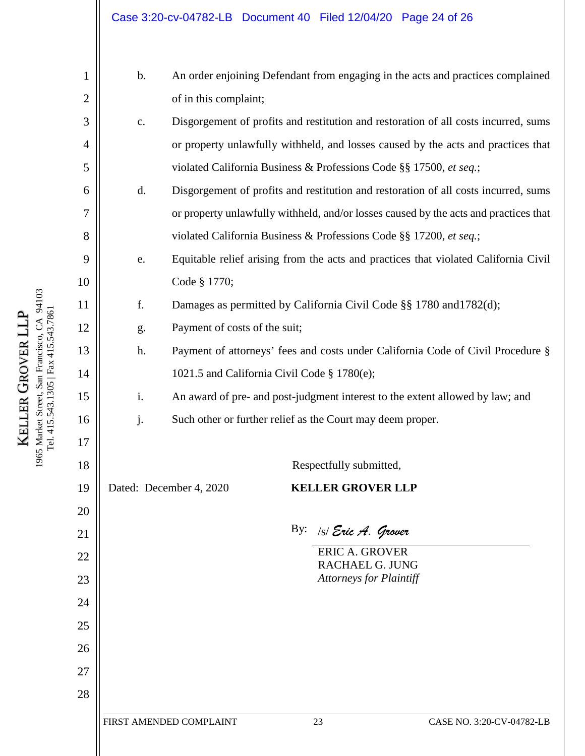|                |                         | Case 3:20-cv-04782-LB  Document 40  Filed 12/04/20  Page 24 of 26                    |                                                   |                           |  |  |
|----------------|-------------------------|--------------------------------------------------------------------------------------|---------------------------------------------------|---------------------------|--|--|
| 1              | $\mathbf b$ .           | An order enjoining Defendant from engaging in the acts and practices complained      |                                                   |                           |  |  |
| $\overline{2}$ |                         | of in this complaint;                                                                |                                                   |                           |  |  |
| 3              | c.                      | Disgorgement of profits and restitution and restoration of all costs incurred, sums  |                                                   |                           |  |  |
| $\overline{4}$ |                         | or property unlawfully withheld, and losses caused by the acts and practices that    |                                                   |                           |  |  |
| 5              |                         | violated California Business & Professions Code §§ 17500, et seq.;                   |                                                   |                           |  |  |
| 6              | d.                      | Disgorgement of profits and restitution and restoration of all costs incurred, sums  |                                                   |                           |  |  |
| 7              |                         | or property unlawfully withheld, and/or losses caused by the acts and practices that |                                                   |                           |  |  |
| 8              |                         | violated California Business & Professions Code §§ 17200, et seq.;                   |                                                   |                           |  |  |
| 9              | e.                      | Equitable relief arising from the acts and practices that violated California Civil  |                                                   |                           |  |  |
| 10             |                         | Code § 1770;                                                                         |                                                   |                           |  |  |
| 11             | f.                      | Damages as permitted by California Civil Code §§ 1780 and 1782(d);                   |                                                   |                           |  |  |
| 12             | g.                      | Payment of costs of the suit;                                                        |                                                   |                           |  |  |
| 13             | h.                      | Payment of attorneys' fees and costs under California Code of Civil Procedure §      |                                                   |                           |  |  |
| 14             |                         | 1021.5 and California Civil Code § 1780(e);                                          |                                                   |                           |  |  |
| 15             | i.                      | An award of pre- and post-judgment interest to the extent allowed by law; and        |                                                   |                           |  |  |
| 16             | j.                      | Such other or further relief as the Court may deem proper.                           |                                                   |                           |  |  |
| 17             |                         |                                                                                      |                                                   |                           |  |  |
| 18             | Respectfully submitted, |                                                                                      |                                                   |                           |  |  |
| 19             |                         | Dated: December 4, 2020                                                              | <b>KELLER GROVER LLP</b>                          |                           |  |  |
| 20             |                         |                                                                                      | By:<br>/s/ Eric A. Grover                         |                           |  |  |
| 21             |                         |                                                                                      | <b>ERIC A. GROVER</b>                             |                           |  |  |
| 22<br>23       |                         |                                                                                      | RACHAEL G. JUNG<br><b>Attorneys for Plaintiff</b> |                           |  |  |
| 24             |                         |                                                                                      |                                                   |                           |  |  |
|                |                         |                                                                                      |                                                   |                           |  |  |
| 25<br>26       |                         |                                                                                      |                                                   |                           |  |  |
|                |                         |                                                                                      |                                                   |                           |  |  |
| 27<br>28       |                         |                                                                                      |                                                   |                           |  |  |
|                |                         |                                                                                      |                                                   |                           |  |  |
|                |                         | FIRST AMENDED COMPLAINT                                                              | 23                                                | CASE NO. 3:20-CV-04782-LB |  |  |
|                |                         |                                                                                      |                                                   |                           |  |  |

1965 Market Street, San Francisco, CA 94103<br>Tel. 415.543.1305 | Fax 415.543.7861 1965 Market Street, San Francisco, CA 94103 KELLER GROVER LLP GROVER LLP KELLER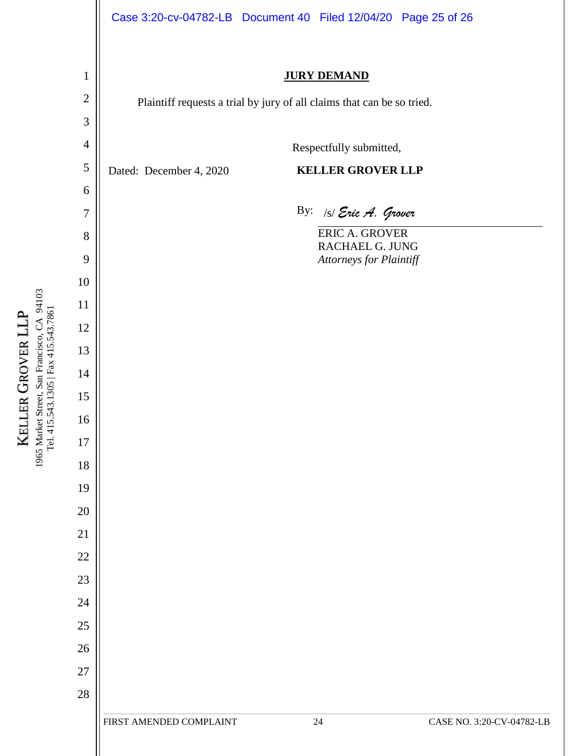|                | Case 3:20-cv-04782-LB Document 40 Filed 12/04/20 Page 25 of 26         |     |                                                                     |                           |
|----------------|------------------------------------------------------------------------|-----|---------------------------------------------------------------------|---------------------------|
| $\mathbf{1}$   |                                                                        |     | <b>JURY DEMAND</b>                                                  |                           |
| $\overline{2}$ | Plaintiff requests a trial by jury of all claims that can be so tried. |     |                                                                     |                           |
| 3              |                                                                        |     |                                                                     |                           |
| $\overline{4}$ |                                                                        |     | Respectfully submitted,                                             |                           |
| $\mathfrak{S}$ | Dated: December 4, 2020                                                |     | <b>KELLER GROVER LLP</b>                                            |                           |
| 6              |                                                                        |     |                                                                     |                           |
| $\overline{7}$ |                                                                        | By: | /s/ Eric A. Grover                                                  |                           |
| 8<br>9         |                                                                        |     | <b>ERIC A. GROVER</b><br>RACHAEL G. JUNG<br>Attorneys for Plaintiff |                           |
| 10             |                                                                        |     |                                                                     |                           |
| 11             |                                                                        |     |                                                                     |                           |
| 12             |                                                                        |     |                                                                     |                           |
| 13             |                                                                        |     |                                                                     |                           |
| 14             |                                                                        |     |                                                                     |                           |
| 15             |                                                                        |     |                                                                     |                           |
| 16             |                                                                        |     |                                                                     |                           |
| 17             |                                                                        |     |                                                                     |                           |
| 18             |                                                                        |     |                                                                     |                           |
| 19             |                                                                        |     |                                                                     |                           |
| 20             |                                                                        |     |                                                                     |                           |
| 21             |                                                                        |     |                                                                     |                           |
| $22\,$         |                                                                        |     |                                                                     |                           |
| 23             |                                                                        |     |                                                                     |                           |
| 24             |                                                                        |     |                                                                     |                           |
| 25             |                                                                        |     |                                                                     |                           |
| 26             |                                                                        |     |                                                                     |                           |
| $27\,$         |                                                                        |     |                                                                     |                           |
| 28             |                                                                        |     |                                                                     |                           |
|                | FIRST AMENDED COMPLAINT                                                |     | 24                                                                  | CASE NO. 3:20-CV-04782-LB |
|                |                                                                        |     |                                                                     |                           |